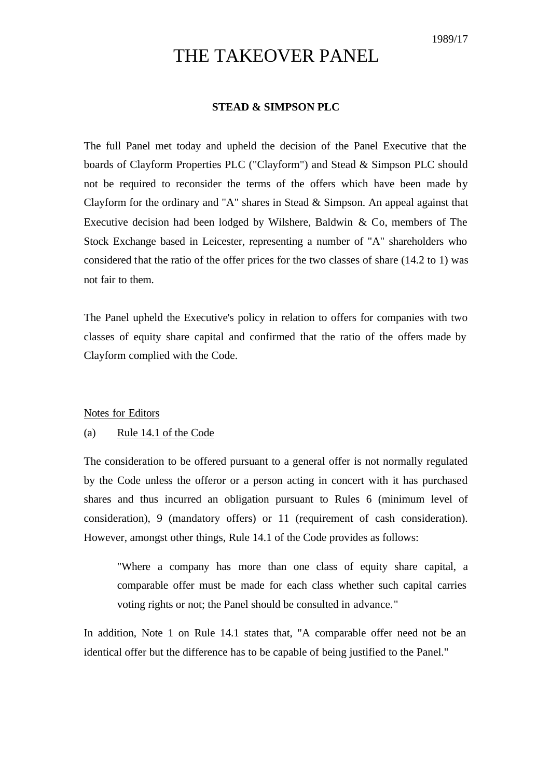# THE TAKEOVER PANEL

### **STEAD & SIMPSON PLC**

The full Panel met today and upheld the decision of the Panel Executive that the boards of Clayform Properties PLC ("Clayform") and Stead & Simpson PLC should not be required to reconsider the terms of the offers which have been made by Clayform for the ordinary and "A" shares in Stead & Simpson. An appeal against that Executive decision had been lodged by Wilshere, Baldwin & Co, members of The Stock Exchange based in Leicester, representing a number of "A" shareholders who considered that the ratio of the offer prices for the two classes of share (14.2 to 1) was not fair to them.

The Panel upheld the Executive's policy in relation to offers for companies with two classes of equity share capital and confirmed that the ratio of the offers made by Clayform complied with the Code.

#### Notes for Editors

## (a) Rule 14.1 of the Code

The consideration to be offered pursuant to a general offer is not normally regulated by the Code unless the offeror or a person acting in concert with it has purchased shares and thus incurred an obligation pursuant to Rules 6 (minimum level of consideration), 9 (mandatory offers) or 11 (requirement of cash consideration). However, amongst other things, Rule 14.1 of the Code provides as follows:

"Where a company has more than one class of equity share capital, a comparable offer must be made for each class whether such capital carries voting rights or not; the Panel should be consulted in advance."

In addition, Note 1 on Rule 14.1 states that, "A comparable offer need not be an identical offer but the difference has to be capable of being justified to the Panel."